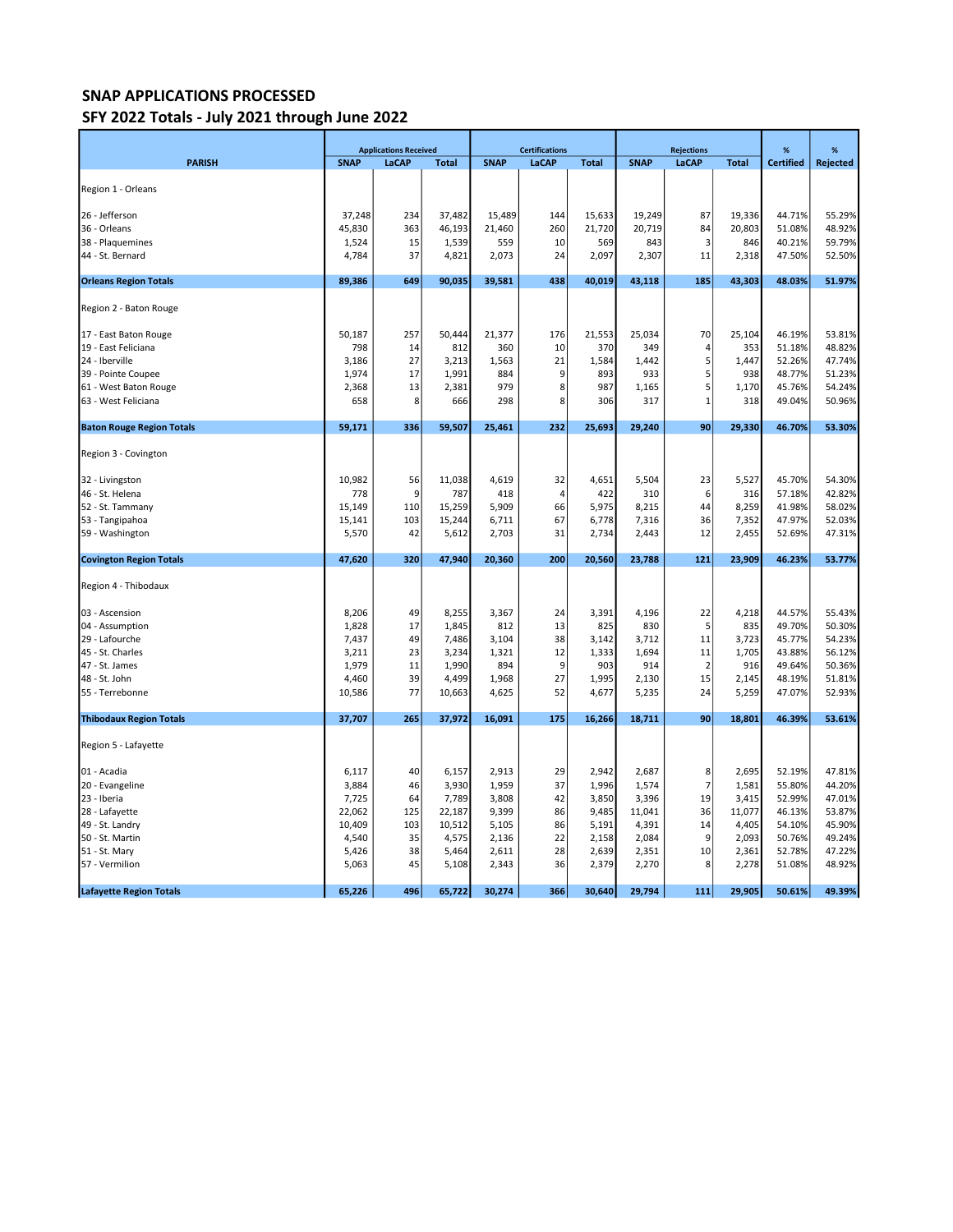## SNAP APPLICATIONS PROCESSED

## SFY 2022 Totals - July 2021 through June 2022

|                                  | <b>Applications Received</b> |              |              |             | <b>Certifications</b> |              | <b>Rejections</b> |                |              | %                | %        |
|----------------------------------|------------------------------|--------------|--------------|-------------|-----------------------|--------------|-------------------|----------------|--------------|------------------|----------|
| <b>PARISH</b>                    | <b>SNAP</b>                  | <b>LaCAP</b> | <b>Total</b> | <b>SNAP</b> | LaCAP                 | <b>Total</b> | <b>SNAP</b>       | LaCAP          | <b>Total</b> | <b>Certified</b> | Rejected |
|                                  |                              |              |              |             |                       |              |                   |                |              |                  |          |
| Region 1 - Orleans               |                              |              |              |             |                       |              |                   |                |              |                  |          |
|                                  |                              |              |              |             |                       |              |                   |                |              |                  |          |
| 26 - Jefferson                   | 37,248                       | 234          | 37,482       | 15,489      | 144                   | 15,633       | 19,249            | 87             | 19,336       | 44.71%           | 55.29%   |
| 36 - Orleans                     | 45,830                       | 363          | 46,193       | 21,460      | 260                   | 21,720       | 20,719            | 84             | 20,803       | 51.08%           | 48.92%   |
| 38 - Plaquemines                 | 1,524                        | 15           | 1,539        | 559         | 10                    | 569          | 843               | 3              | 846          | 40.21%           | 59.79%   |
| 44 - St. Bernard                 | 4,784                        | 37           | 4,821        | 2,073       | 24                    | 2,097        | 2,307             | 11             | 2,318        | 47.50%           | 52.50%   |
| <b>Orleans Region Totals</b>     | 89,386                       | 649          | 90,035       | 39,581      | 438                   | 40,019       | 43,118            | 185            | 43,303       | 48.03%           | 51.97%   |
|                                  |                              |              |              |             |                       |              |                   |                |              |                  |          |
| Region 2 - Baton Rouge           |                              |              |              |             |                       |              |                   |                |              |                  |          |
|                                  |                              |              |              |             |                       |              |                   |                |              |                  |          |
| 17 - East Baton Rouge            | 50,187                       | 257          | 50,444       | 21,377      | 176                   | 21,553       | 25,034            | 70             | 25,104       | 46.19%           | 53.81%   |
| 19 - East Feliciana              | 798                          | 14           | 812          | 360         | 10                    | 370          | 349               | 4              | 353          | 51.18%           | 48.82%   |
| 24 - Iberville                   | 3,186                        | 27           | 3,213        | 1,563       | 21                    | 1,584        | 1,442             | 5              | 1,447        | 52.26%           | 47.74%   |
| 39 - Pointe Coupee               | 1,974                        | 17           | 1,991        | 884         | 9                     | 893          | 933               | 5              | 938          | 48.77%           | 51.23%   |
| 61 - West Baton Rouge            | 2,368                        | 13           | 2,381        | 979         | 8                     | 987          | 1,165             | 5              | 1,170        | 45.76%           | 54.24%   |
| 63 - West Feliciana              | 658                          | 8            | 666          | 298         | 8                     | 306          | 317               | $\mathbf{1}$   | 318          | 49.04%           | 50.96%   |
|                                  |                              |              |              |             |                       |              |                   |                |              |                  |          |
| <b>Baton Rouge Region Totals</b> | 59,171                       | 336          | 59,507       | 25,461      | 232                   | 25,693       | 29,240            | 90             | 29,330       | 46.70%           | 53.30%   |
|                                  |                              |              |              |             |                       |              |                   |                |              |                  |          |
| Region 3 - Covington             |                              |              |              |             |                       |              |                   |                |              |                  |          |
|                                  |                              |              |              |             |                       |              |                   |                |              |                  |          |
| 32 - Livingston                  | 10,982                       | 56           | 11,038       | 4,619       | 32                    | 4,651        | 5,504             | 23             | 5,527        | 45.70%           | 54.30%   |
| 46 - St. Helena                  | 778                          | 9            | 787          | 418         | 4                     | 422          | 310               | 6              | 316          | 57.18%           | 42.82%   |
| 52 - St. Tammany                 | 15,149                       | 110          | 15,259       | 5,909       | 66                    | 5,975        | 8,215             | 44             | 8,259        | 41.98%           | 58.02%   |
| 53 - Tangipahoa                  | 15,141                       | 103          | 15,244       | 6,711       | 67                    | 6,778        | 7,316             | 36             | 7,352        | 47.97%           | 52.03%   |
| 59 - Washington                  | 5,570                        | 42           | 5,612        | 2,703       | 31                    | 2,734        | 2,443             | 12             | 2,455        | 52.69%           | 47.31%   |
| <b>Covington Region Totals</b>   | 47,620                       | 320          | 47,940       | 20,360      | 200                   | 20,560       | 23,788            | 121            | 23,909       | 46.23%           | 53.77%   |
|                                  |                              |              |              |             |                       |              |                   |                |              |                  |          |
| Region 4 - Thibodaux             |                              |              |              |             |                       |              |                   |                |              |                  |          |
|                                  |                              |              |              |             |                       |              |                   |                |              |                  |          |
| 03 - Ascension                   | 8,206                        | 49           | 8,255        | 3,367       | 24                    | 3,391        | 4,196             | 22             | 4,218        | 44.57%           | 55.43%   |
| 04 - Assumption                  | 1,828                        | 17           | 1,845        | 812         | 13                    | 825          | 830               | 5              | 835          | 49.70%           | 50.30%   |
| 29 - Lafourche                   | 7,437                        | 49           | 7,486        | 3,104       | 38                    | 3,142        | 3,712             | 11             | 3,723        | 45.77%           | 54.23%   |
| 45 - St. Charles                 | 3,211                        | 23           | 3,234        | 1,321       | 12                    | 1,333        | 1,694             | 11             | 1,705        | 43.88%           | 56.12%   |
| 47 - St. James                   | 1,979                        | 11           | 1,990        | 894         | 9                     | 903          | 914               | $\overline{2}$ | 916          | 49.64%           | 50.36%   |
| 48 - St. John                    | 4,460                        | 39           | 4,499        | 1,968       | 27                    | 1,995        | 2,130             | 15             | 2,145        | 48.19%           | 51.81%   |
| 55 - Terrebonne                  | 10,586                       | 77           | 10,663       | 4,625       | 52                    | 4,677        | 5,235             | 24             | 5,259        | 47.07%           | 52.93%   |
|                                  |                              |              |              |             |                       |              |                   |                |              |                  |          |
| <b>Thibodaux Region Totals</b>   | 37,707                       | 265          | 37,972       | 16,091      | 175                   | 16,266       | 18,711            | 90             | 18,801       | 46.39%           | 53.61%   |
| Region 5 - Lafayette             |                              |              |              |             |                       |              |                   |                |              |                  |          |
|                                  |                              |              |              |             |                       |              |                   |                |              |                  |          |
| 01 - Acadia                      | 6,117                        | 40           | 6,157        | 2,913       | 29                    | 2,942        | 2,687             | 8              | 2,695        | 52.19%           | 47.81%   |
| 20 - Evangeline                  | 3,884                        | 46           | 3,930        | 1,959       | 37                    | 1,996        | 1,574             | $\overline{7}$ | 1,581        | 55.80%           | 44.20%   |
| 23 - Iberia                      | 7,725                        | 64           | 7,789        | 3,808       | 42                    | 3,850        | 3,396             | 19             | 3,415        | 52.99%           | 47.01%   |
| 28 - Lafayette                   | 22,062                       | 125          | 22,187       | 9,399       | 86                    | 9,485        | 11,041            | 36             | 11,077       | 46.13%           | 53.87%   |
| 49 - St. Landry                  | 10,409                       | 103          | 10,512       | 5,105       | 86                    | 5,191        | 4,391             | 14             | 4,405        | 54.10%           | 45.90%   |
| 50 - St. Martin                  | 4,540                        | 35           | 4,575        | 2,136       | 22                    | 2,158        | 2,084             | 9              | 2,093        | 50.76%           | 49.24%   |
| 51 - St. Mary                    | 5,426                        | 38           | 5,464        | 2,611       | 28                    | 2,639        | 2,351             | 10             | 2,361        | 52.78%           | 47.22%   |
| 57 - Vermilion                   | 5,063                        | 45           | 5,108        | 2,343       | 36                    | 2,379        | 2,270             | 8              | 2,278        | 51.08%           | 48.92%   |
|                                  |                              |              |              |             |                       |              |                   |                |              |                  |          |
| <b>Lafayette Region Totals</b>   | 65,226                       | 496          | 65,722       | 30,274      | 366                   | 30,640       | 29,794            | 111            | 29,905       | 50.61%           | 49.39%   |